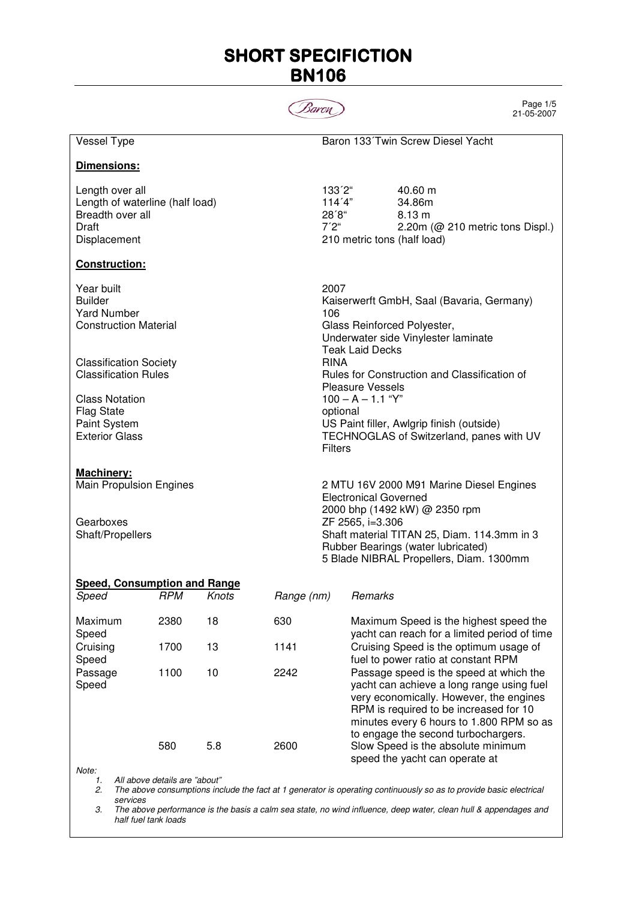# **SHORT SPECIFICTION** BN106



Page 1/5 21-05-2007

| Vessel Type                                                                                     |                    |                                                                               |            |                                                                                                                                                                                                                                                                                                                                                                                                  |                                                                                                                                                                                                                                                              | Baron 133 Twin Screw Diesel Yacht                                                              |
|-------------------------------------------------------------------------------------------------|--------------------|-------------------------------------------------------------------------------|------------|--------------------------------------------------------------------------------------------------------------------------------------------------------------------------------------------------------------------------------------------------------------------------------------------------------------------------------------------------------------------------------------------------|--------------------------------------------------------------------------------------------------------------------------------------------------------------------------------------------------------------------------------------------------------------|------------------------------------------------------------------------------------------------|
| Dimensions:                                                                                     |                    |                                                                               |            |                                                                                                                                                                                                                                                                                                                                                                                                  |                                                                                                                                                                                                                                                              |                                                                                                |
| Length over all<br>Length of waterline (half load)<br>Breadth over all<br>Draft<br>Displacement |                    |                                                                               |            | 133'2"<br>114'4"<br>28'8"<br>7'2"                                                                                                                                                                                                                                                                                                                                                                |                                                                                                                                                                                                                                                              | 40.60 m<br>34.86m<br>8.13 m<br>2.20m (@ 210 metric tons Displ.)<br>210 metric tons (half load) |
| <b>Construction:</b>                                                                            |                    |                                                                               |            |                                                                                                                                                                                                                                                                                                                                                                                                  |                                                                                                                                                                                                                                                              |                                                                                                |
| Year built<br><b>Builder</b><br><b>Yard Number</b><br><b>Construction Material</b>              |                    |                                                                               |            | 2007<br>Kaiserwerft GmbH, Saal (Bavaria, Germany)<br>106<br>Glass Reinforced Polyester,<br>Underwater side Vinylester laminate<br><b>Teak Laid Decks</b><br><b>RINA</b><br>Rules for Construction and Classification of<br><b>Pleasure Vessels</b><br>$100 - A - 1.1$ "Y"<br>optional<br>US Paint filler, Awlgrip finish (outside)<br>TECHNOGLAS of Switzerland, panes with UV<br><b>Filters</b> |                                                                                                                                                                                                                                                              |                                                                                                |
| <b>Classification Society</b><br><b>Classification Rules</b>                                    |                    |                                                                               |            |                                                                                                                                                                                                                                                                                                                                                                                                  |                                                                                                                                                                                                                                                              |                                                                                                |
| <b>Class Notation</b><br><b>Flag State</b><br><b>Paint System</b><br><b>Exterior Glass</b>      |                    |                                                                               |            |                                                                                                                                                                                                                                                                                                                                                                                                  |                                                                                                                                                                                                                                                              |                                                                                                |
| Machinery:<br>Main Propulsion Engines                                                           |                    |                                                                               |            | 2 MTU 16V 2000 M91 Marine Diesel Engines<br><b>Electronical Governed</b><br>2000 bhp (1492 kW) @ 2350 rpm<br>ZF 2565, i=3.306<br>Shaft material TITAN 25, Diam. 114.3mm in 3<br>Rubber Bearings (water lubricated)<br>5 Blade NIBRAL Propellers, Diam. 1300mm                                                                                                                                    |                                                                                                                                                                                                                                                              |                                                                                                |
| Gearboxes<br>Shaft/Propellers                                                                   |                    |                                                                               |            |                                                                                                                                                                                                                                                                                                                                                                                                  |                                                                                                                                                                                                                                                              |                                                                                                |
| <b>Speed, Consumption and Range</b><br>Speed                                                    | <b>RPM</b>         | Knots                                                                         | Range (nm) |                                                                                                                                                                                                                                                                                                                                                                                                  | Remarks                                                                                                                                                                                                                                                      |                                                                                                |
| Maximum<br>Speed                                                                                | 2380               | 18                                                                            | 630        |                                                                                                                                                                                                                                                                                                                                                                                                  |                                                                                                                                                                                                                                                              | Maximum Speed is the highest speed the<br>yacht can reach for a limited period of time         |
| Cruising<br>Speed                                                                               | 1700<br>13<br>1141 | Cruising Speed is the optimum usage of<br>fuel to power ratio at constant RPM |            |                                                                                                                                                                                                                                                                                                                                                                                                  |                                                                                                                                                                                                                                                              |                                                                                                |
| Passage<br>1100<br>Speed                                                                        |                    | 10                                                                            | 2242       |                                                                                                                                                                                                                                                                                                                                                                                                  | Passage speed is the speed at which the<br>yacht can achieve a long range using fuel<br>very economically. However, the engines<br>RPM is required to be increased for 10<br>minutes every 6 hours to 1.800 RPM so as<br>to engage the second turbochargers. |                                                                                                |
|                                                                                                 | 580                | 5.8                                                                           | 2600       |                                                                                                                                                                                                                                                                                                                                                                                                  |                                                                                                                                                                                                                                                              | Slow Speed is the absolute minimum<br>speed the yacht can operate at                           |
| Note:<br>All above details are "about"<br>1.                                                    |                    |                                                                               |            |                                                                                                                                                                                                                                                                                                                                                                                                  |                                                                                                                                                                                                                                                              |                                                                                                |

2. The above consumptions include the fact at 1 generator is operating continuously so as to provide basic electrical services

3. The above performance is the basis a calm sea state, no wind influence, deep water, clean hull & appendages and half fuel tank loads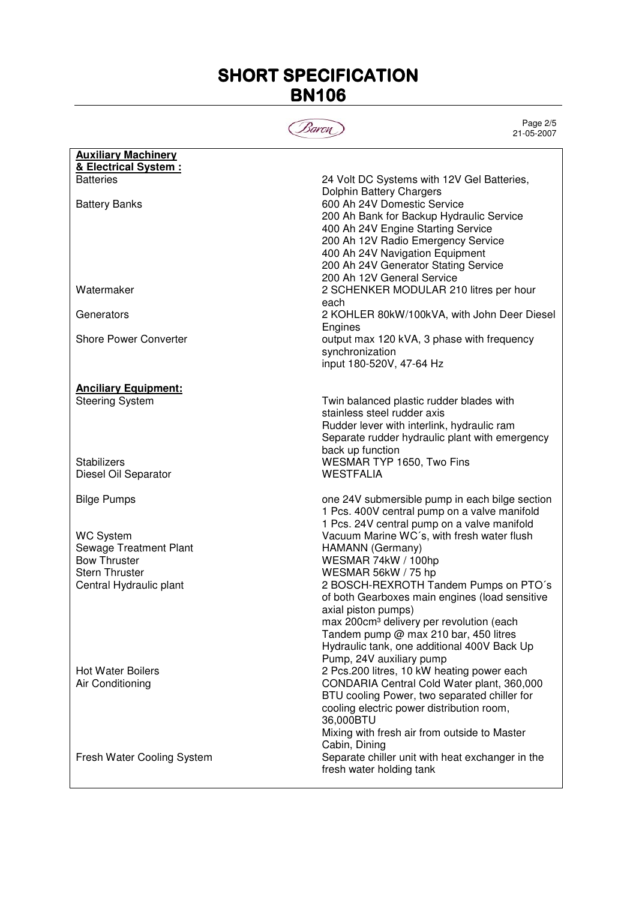# **SHORT SPECIFICATION** BN106



Page 2/5 21-05-2007

| <b>Auxiliary Machinery</b>   |                                                                       |
|------------------------------|-----------------------------------------------------------------------|
| & Electrical System :        |                                                                       |
| <b>Batteries</b>             | 24 Volt DC Systems with 12V Gel Batteries,                            |
| <b>Battery Banks</b>         | Dolphin Battery Chargers<br>600 Ah 24V Domestic Service               |
|                              | 200 Ah Bank for Backup Hydraulic Service                              |
|                              | 400 Ah 24V Engine Starting Service                                    |
|                              | 200 Ah 12V Radio Emergency Service                                    |
|                              | 400 Ah 24V Navigation Equipment                                       |
|                              | 200 Ah 24V Generator Stating Service                                  |
|                              | 200 Ah 12V General Service                                            |
| Watermaker                   | 2 SCHENKER MODULAR 210 litres per hour                                |
|                              | each                                                                  |
| Generators                   | 2 KOHLER 80kW/100kVA, with John Deer Diesel                           |
|                              | Engines                                                               |
| <b>Shore Power Converter</b> | output max 120 kVA, 3 phase with frequency                            |
|                              | synchronization<br>input 180-520V, 47-64 Hz                           |
|                              |                                                                       |
| <b>Anciliary Equipment:</b>  |                                                                       |
| <b>Steering System</b>       | Twin balanced plastic rudder blades with                              |
|                              | stainless steel rudder axis                                           |
|                              | Rudder lever with interlink, hydraulic ram                            |
|                              | Separate rudder hydraulic plant with emergency                        |
|                              | back up function                                                      |
| <b>Stabilizers</b>           | WESMAR TYP 1650, Two Fins                                             |
| Diesel Oil Separator         | <b>WESTFALIA</b>                                                      |
| <b>Bilge Pumps</b>           | one 24V submersible pump in each bilge section                        |
|                              | 1 Pcs. 400V central pump on a valve manifold                          |
|                              | 1 Pcs. 24V central pump on a valve manifold                           |
| <b>WC System</b>             | Vacuum Marine WC's, with fresh water flush                            |
| Sewage Treatment Plant       | HAMANN (Germany)                                                      |
| <b>Bow Thruster</b>          | WESMAR 74kW / 100hp                                                   |
| <b>Stern Thruster</b>        | WESMAR 56kW / 75 hp                                                   |
| Central Hydraulic plant      | 2 BOSCH-REXROTH Tandem Pumps on PTO's                                 |
|                              | of both Gearboxes main engines (load sensitive<br>axial piston pumps) |
|                              | max 200cm <sup>3</sup> delivery per revolution (each                  |
|                              | Tandem pump @ max 210 bar, 450 litres                                 |
|                              | Hydraulic tank, one additional 400V Back Up                           |
|                              | Pump, 24V auxiliary pump                                              |
| <b>Hot Water Boilers</b>     | 2 Pcs.200 litres, 10 kW heating power each                            |
| Air Conditioning             | CONDARIA Central Cold Water plant, 360,000                            |
|                              | BTU cooling Power, two separated chiller for                          |
|                              | cooling electric power distribution room,                             |
|                              | 36,000BTU                                                             |
|                              | Mixing with fresh air from outside to Master<br>Cabin, Dining         |
| Fresh Water Cooling System   | Separate chiller unit with heat exchanger in the                      |
|                              | fresh water holding tank                                              |
|                              |                                                                       |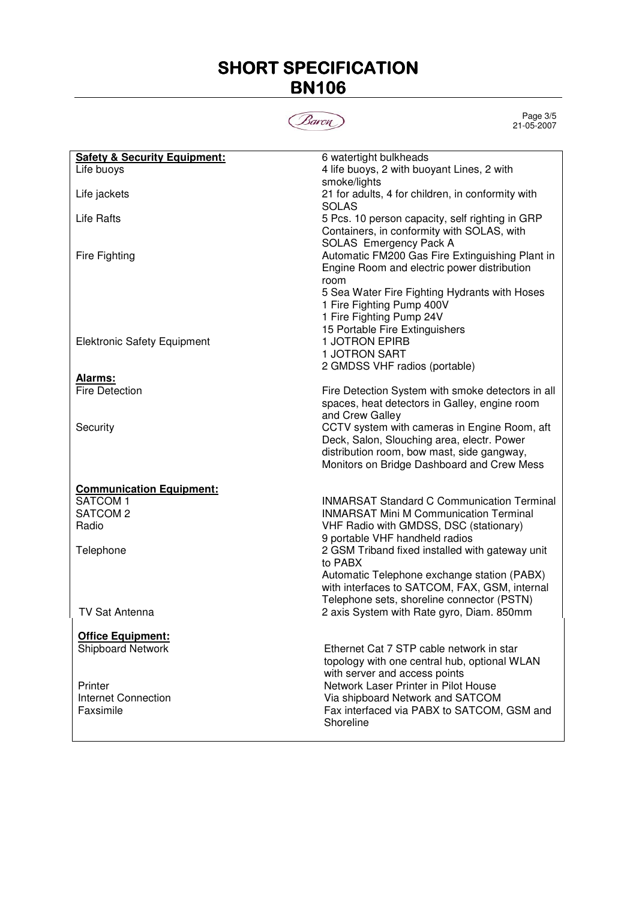## **SHORT SPECIFICATION** BN106



Page 3/5 21-05-2007

| <b>Safety &amp; Security Equipment:</b> | 6 watertight bulkheads                            |
|-----------------------------------------|---------------------------------------------------|
| Life buoys                              | 4 life buoys, 2 with buoyant Lines, 2 with        |
|                                         | smoke/lights                                      |
| Life jackets                            | 21 for adults, 4 for children, in conformity with |
|                                         | <b>SOLAS</b>                                      |
| <b>Life Rafts</b>                       | 5 Pcs. 10 person capacity, self righting in GRP   |
|                                         | Containers, in conformity with SOLAS, with        |
|                                         | SOLAS Emergency Pack A                            |
| <b>Fire Fighting</b>                    | Automatic FM200 Gas Fire Extinguishing Plant in   |
|                                         | Engine Room and electric power distribution       |
|                                         | room                                              |
|                                         | 5 Sea Water Fire Fighting Hydrants with Hoses     |
|                                         | 1 Fire Fighting Pump 400V                         |
|                                         | 1 Fire Fighting Pump 24V                          |
|                                         | 15 Portable Fire Extinguishers                    |
| <b>Elektronic Safety Equipment</b>      | <b>1 JOTRON EPIRB</b>                             |
|                                         | <b>1 JOTRON SART</b>                              |
|                                         | 2 GMDSS VHF radios (portable)                     |
| Alarms:                                 |                                                   |
| <b>Fire Detection</b>                   | Fire Detection System with smoke detectors in all |
|                                         | spaces, heat detectors in Galley, engine room     |
|                                         | and Crew Galley                                   |
| Security                                | CCTV system with cameras in Engine Room, aft      |
|                                         | Deck, Salon, Slouching area, electr. Power        |
|                                         | distribution room, bow mast, side gangway,        |
|                                         | Monitors on Bridge Dashboard and Crew Mess        |
|                                         |                                                   |
| <b>Communication Equipment:</b>         |                                                   |
| SATCOM <sub>1</sub>                     | <b>INMARSAT Standard C Communication Terminal</b> |
| SATCOM <sub>2</sub>                     | <b>INMARSAT Mini M Communication Terminal</b>     |
| Radio                                   | VHF Radio with GMDSS, DSC (stationary)            |
|                                         | 9 portable VHF handheld radios                    |
| Telephone                               | 2 GSM Triband fixed installed with gateway unit   |
|                                         | to PABX                                           |
|                                         | Automatic Telephone exchange station (PABX)       |
|                                         | with interfaces to SATCOM, FAX, GSM, internal     |
|                                         | Telephone sets, shoreline connector (PSTN)        |
| <b>TV Sat Antenna</b>                   | 2 axis System with Rate gyro, Diam. 850mm         |
|                                         |                                                   |
|                                         |                                                   |
| <b>Office Equipment:</b>                | Ethernet Cat 7 STP cable network in star          |
| Shipboard Network                       |                                                   |
|                                         | topology with one central hub, optional WLAN      |
|                                         | with server and access points                     |
| Printer                                 | Network Laser Printer in Pilot House              |
| Internet Connection                     | Via shipboard Network and SATCOM                  |
| Faxsimile                               | Fax interfaced via PABX to SATCOM, GSM and        |
|                                         | Shoreline                                         |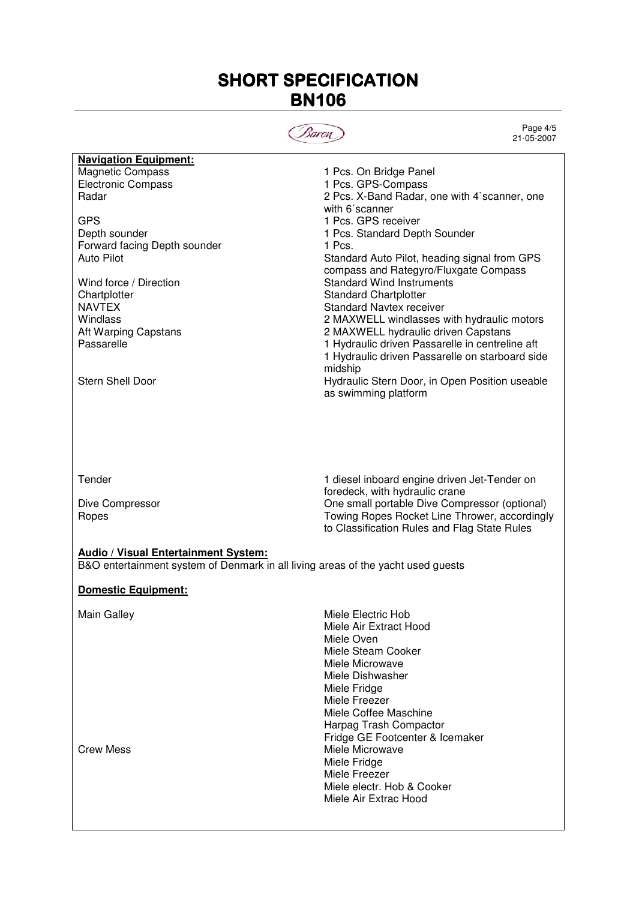### SHORT SPECIFICATION BN106



Page 4/5 21-05-2007

| <b>Navigation Equipment:</b> |                                                 |
|------------------------------|-------------------------------------------------|
| <b>Magnetic Compass</b>      | 1 Pcs. On Bridge Panel                          |
| <b>Electronic Compass</b>    | 1 Pcs. GPS-Compass                              |
| <b>Radar</b>                 | 2 Pcs. X-Band Radar, one with 4`scanner, one    |
|                              | with 6 <sup>'</sup> scanner                     |
| <b>GPS</b>                   | 1 Pcs. GPS receiver                             |
| Depth sounder                | 1 Pcs. Standard Depth Sounder                   |
| Forward facing Depth sounder | 1 Pcs.                                          |
| Auto Pilot                   | Standard Auto Pilot, heading signal from GPS    |
|                              | compass and Rategyro/Fluxgate Compass           |
| Wind force / Direction       | <b>Standard Wind Instruments</b>                |
| Chartplotter                 | <b>Standard Chartplotter</b>                    |
| <b>NAVTEX</b>                | Standard Navtex receiver                        |
| Windlass                     | 2 MAXWELL windlasses with hydraulic motors      |
| Aft Warping Capstans         | 2 MAXWELL hydraulic driven Capstans             |
| Passarelle                   | 1 Hydraulic driven Passarelle in centreline aft |
|                              | 1 Hydraulic driven Passarelle on starboard side |
|                              | midship                                         |
| <b>Stern Shell Door</b>      | Hydraulic Stern Door, in Open Position useable  |
|                              | as swimming platform                            |
|                              |                                                 |
|                              |                                                 |

Tender 1 diesel inboard engine driven Jet-Tender on foredeck, with hydraulic crane Dive Compressor **One small portable Dive Compressor (optional)** Ropes **Ropes Ropes** Rocket Line Thrower, accordingly to Classification Rules and Flag State Rules

### **Audio / Visual Entertainment System:**

B&O entertainment system of Denmark in all living areas of the yacht used guests

#### **Domestic Equipment:**

Main Galley **Mightary** Miele Electric Hob Miele Air Extract Hood Miele Oven Miele Steam Cooker Miele Microwave Miele Dishwasher Miele Fridge Miele Freezer Miele Coffee Maschine Harpag Trash Compactor Fridge GE Footcenter & Icemaker Crew Mess **Miele Microwave** Miele Fridge Miele Freezer Miele electr. Hob & Cooker Miele Air Extrac Hood